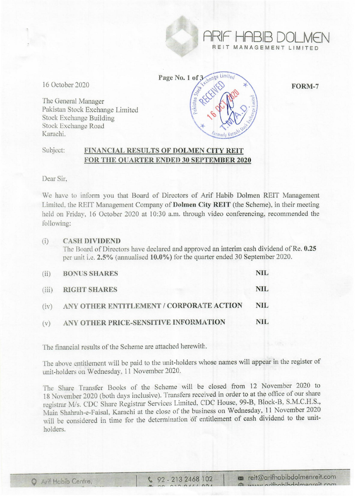

16 October 2020 Page No. 1 of  $\frac{3}{2}$   $\frac{3}{2}$  FORM-7

The General Manager Pakistan Stock Exchange Limited Stock Exchange Building Stock Exchange Road Karachi.

## Subject: FINANCIAL RESULTS OF DOLMEN CITY REIT FOR THE QUARTER ENDED 30 SEPTEMBER 2020

Dear Sir,

We have to inform you that Board of Directors of Arif Habib Dolmen REIT Management Limited, the REIT Management Company of Dolmen City REIT (the Scheme), in their meeting held on Friday, 16 October 2020 at 10:30 a.m. through video conferencing, recommended the following:

### (i) CASH DIVIDEND

The Board of Directors have declared and approved an interim cash dividend of Re. 0.25 per unit i.e. 2.5% (annualised 10.0%) for the quarter ended 30 September 2020.

| (ii) | <b>BONUS SHARES</b>                           | NIL.       |
|------|-----------------------------------------------|------------|
|      | (iii) RIGHT SHARES                            | NIL.       |
|      | (iv) ANY OTHER ENTITLEMENT / CORPORATE ACTION | <b>NIL</b> |
| (v)  | ANY OTHER PRICE-SENSITIVE INFORMATION         | NIL.       |

The financial results of the Scheme are attached herewith.

The above entitlement will be paid to the unit-holders whose names will appear in the register of unit-holders on Wednesday. 11 November 2020.

The Share Transfer Books of the Scheme will be closed from 12 November 2020 to 18 November 2020 (both days inclusive). Transfers received in order to at the office of our share registrar *Mis.* CDC Share Registrar Services Limited. CDC House, 99-B, Block-B, S.M.C.H.S., Main Shahrah-e-Faisal, Karachi at the close of the business on Wednesday, 11 November 2020 will be considered in time for the determination of entitlement of cash dividend to the unitholders.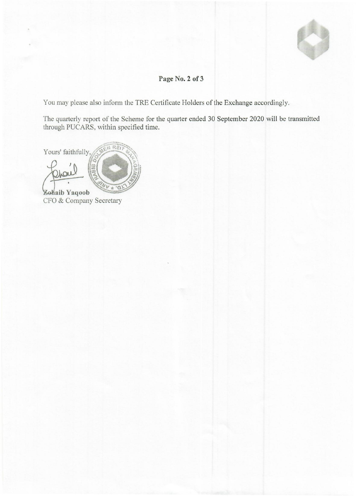

# **Page No.2 of 3,**

You may please also inform the TRE Certificate Holders of the Exchange accordingly.

The quarterly report of the Scheme for the quarter ended 30 September 2020 will be transmitted through PUCARS, within specified time.

REIT Yours' faithfully,  $\cdot$ O **aib Yaqoob** 

CFO & Company Secretary